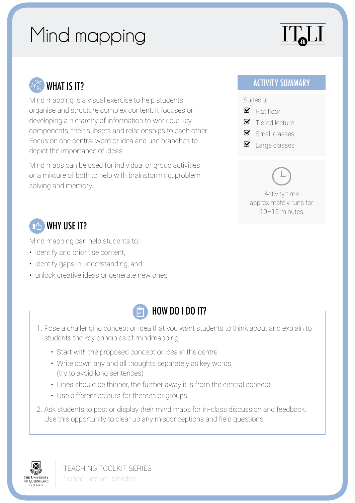## Mind mapping

# $\prod$



Mind mapping is a visual exercise to help students organise and structure complex content. It focuses on developing a hierarchy of information to work out key components, their subsets and relationships to each other. Focus on one central word or idea and use branches to depict the importance of ideas.

Mind maps can be used for individual or group activities or a mixture of both to help with brainstorming, problem solving and memory.

#### ACTIVITY SUMMARY

Suited to:

- $\blacksquare$  Flat floor
- $\bullet$  Tiered lecture
- $\bullet$  Small classes
- $\bullet$  Large classes

Activity time approximately runs for 10–15 minutes

#### **24** WHY USE IT?

Mind mapping can help students to:

- identify and prioritise content,
- identify gaps in understanding, and
- unlock creative ideas or generate new ones.



- 1. Pose a challenging concept or idea that you want students to think about and explain to students the key principles of mindmapping:
	- Start with the proposed concept or idea in the centre
	- Write down any and all thoughts separately as key words (try to avoid long sentences)
	- Lines should be thinner, the further away it is from the central concept
	- Use different colours for themes or groups
- 2. Ask students to post or display their mind maps for in-class discussion and feedback. Use this opportunity to clear up any misconceptions and field questions.